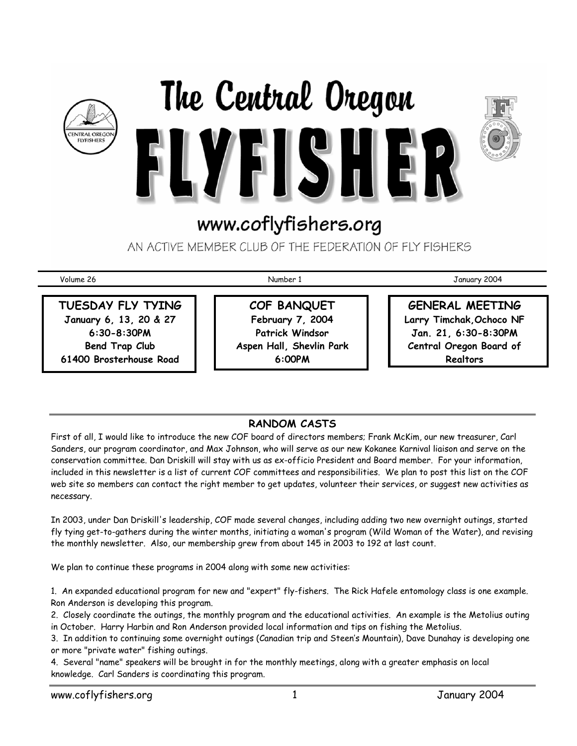





# www.coflyfishers.org

AN ACTIVE MEMBER CLUB OF THE FEDERATION OF FLY FISHERS

**TUESDAY FLY TYING January 6, 13, 20 & 27 6:30-8:30PM Bend Trap Club 61400 Brosterhouse Road** 

**COF BANQUET February 7, 2004 Patrick Windsor Aspen Hall, Shevlin Park 6:00PM** 

Volume 26 **Volume 26** Number 1 **Number 1** Number 1 3004

**GENERAL MEETING Larry Timchak,Ochoco NF Jan. 21, 6:30-8:30PM Central Oregon Board of Realtors** 

# **RANDOM CASTS**

First of all, I would like to introduce the new COF board of directors members; Frank McKim, our new treasurer, Carl Sanders, our program coordinator, and Max Johnson, who will serve as our new Kokanee Karnival liaison and serve on the conservation committee. Dan Driskill will stay with us as ex-officio President and Board member. For your information, included in this newsletter is a list of current COF committees and responsibilities. We plan to post this list on the COF web site so members can contact the right member to get updates, volunteer their services, or suggest new activities as necessary.

In 2003, under Dan Driskill's leadership, COF made several changes, including adding two new overnight outings, started fly tying get-to-gathers during the winter months, initiating a woman's program (Wild Woman of the Water), and revising the monthly newsletter. Also, our membership grew from about 145 in 2003 to 192 at last count.

We plan to continue these programs in 2004 along with some new activities:

1. An expanded educational program for new and "expert" fly-fishers. The Rick Hafele entomology class is one example. Ron Anderson is developing this program.

2. Closely coordinate the outings, the monthly program and the educational activities. An example is the Metolius outing in October. Harry Harbin and Ron Anderson provided local information and tips on fishing the Metolius.

3. In addition to continuing some overnight outings (Canadian trip and Steen's Mountain), Dave Dunahay is developing one or more "private water" fishing outings.

4. Several "name" speakers will be brought in for the monthly meetings, along with a greater emphasis on local knowledge. Carl Sanders is coordinating this program.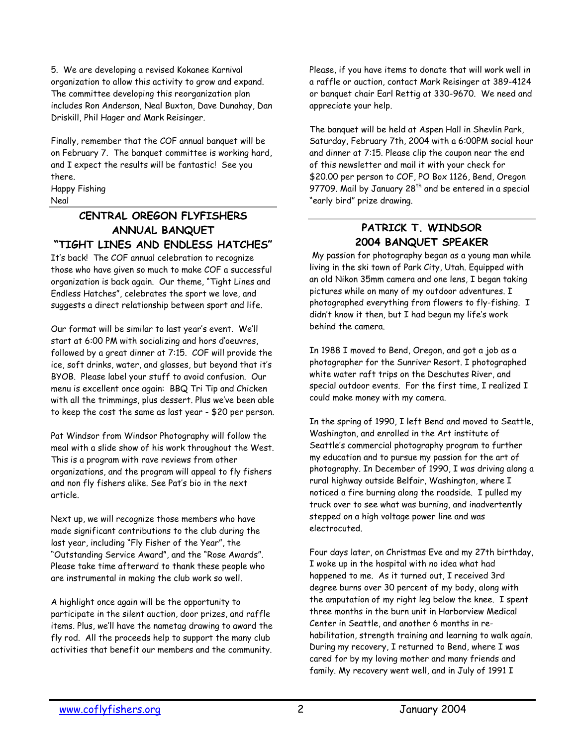5. We are developing a revised Kokanee Karnival organization to allow this activity to grow and expand. The committee developing this reorganization plan includes Ron Anderson, Neal Buxton, Dave Dunahay, Dan Driskill, Phil Hager and Mark Reisinger.

Finally, remember that the COF annual banquet will be on February 7. The banquet committee is working hard, and I expect the results will be fantastic! See you there.

Happy Fishing Neal

# **CENTRAL OREGON FLYFISHERS ANNUAL BANQUET**

**"TIGHT LINES AND ENDLESS HATCHES"**  It's back! The COF annual celebration to recognize those who have given so much to make COF a successful organization is back again. Our theme, "Tight Lines and Endless Hatches", celebrates the sport we love, and suggests a direct relationship between sport and life.

Our format will be similar to last year's event. We'll start at 6:00 PM with socializing and hors d'oeuvres, followed by a great dinner at 7:15. COF will provide the ice, soft drinks, water, and glasses, but beyond that it's BYOB. Please label your stuff to avoid confusion. Our menu is excellent once again: BBQ Tri Tip and Chicken with all the trimmings, plus dessert. Plus we've been able to keep the cost the same as last year - \$20 per person.

Pat Windsor from Windsor Photography will follow the meal with a slide show of his work throughout the West. This is a program with rave reviews from other organizations, and the program will appeal to fly fishers and non fly fishers alike. See Pat's bio in the next article.

Next up, we will recognize those members who have made significant contributions to the club during the last year, including "Fly Fisher of the Year", the "Outstanding Service Award", and the "Rose Awards". Please take time afterward to thank these people who are instrumental in making the club work so well.

A highlight once again will be the opportunity to participate in the silent auction, door prizes, and raffle items. Plus, we'll have the nametag drawing to award the fly rod. All the proceeds help to support the many club activities that benefit our members and the community.

Please, if you have items to donate that will work well in a raffle or auction, contact Mark Reisinger at 389-4124 or banquet chair Earl Rettig at 330-9670. We need and appreciate your help.

The banquet will be held at Aspen Hall in Shevlin Park, Saturday, February 7th, 2004 with a 6:00PM social hour and dinner at 7:15. Please clip the coupon near the end of this newsletter and mail it with your check for \$20.00 per person to COF, PO Box 1126, Bend, Oregon 97709. Mail by January 28<sup>th</sup> and be entered in a special "early bird" prize drawing.

# **PATRICK T. WINDSOR 2004 BANQUET SPEAKER**

 My passion for photography began as a young man while living in the ski town of Park City, Utah. Equipped with an old Nikon 35mm camera and one lens, I began taking pictures while on many of my outdoor adventures. I photographed everything from flowers to fly-fishing. I didn't know it then, but I had begun my life's work behind the camera.

In 1988 I moved to Bend, Oregon, and got a job as a photographer for the Sunriver Resort. I photographed white water raft trips on the Deschutes River, and special outdoor events. For the first time, I realized I could make money with my camera.

In the spring of 1990, I left Bend and moved to Seattle, Washington, and enrolled in the Art institute of Seattle's commercial photography program to further my education and to pursue my passion for the art of photography. In December of 1990, I was driving along a rural highway outside Belfair, Washington, where I noticed a fire burning along the roadside. I pulled my truck over to see what was burning, and inadvertently stepped on a high voltage power line and was electrocuted.

Four days later, on Christmas Eve and my 27th birthday, I woke up in the hospital with no idea what had happened to me. As it turned out, I received 3rd degree burns over 30 percent of my body, along with the amputation of my right leg below the knee. I spent three months in the burn unit in Harborview Medical Center in Seattle, and another 6 months in rehabilitation, strength training and learning to walk again. During my recovery, I returned to Bend, where I was cared for by my loving mother and many friends and family. My recovery went well, and in July of 1991 I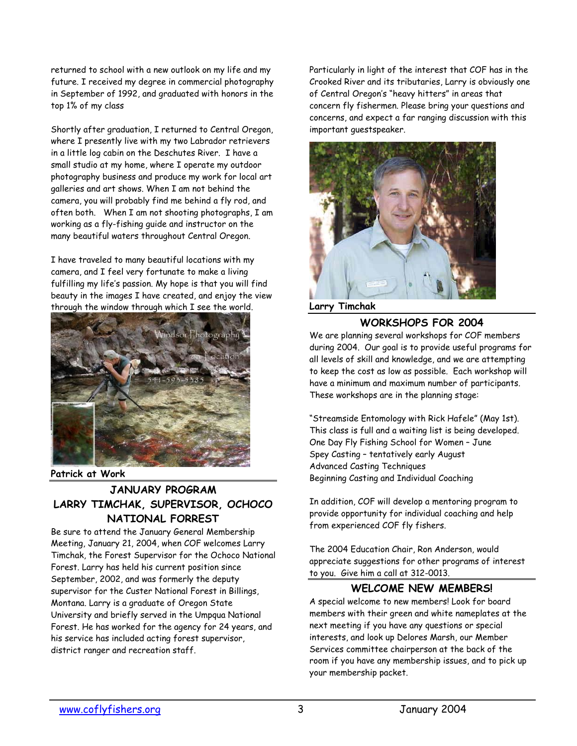returned to school with a new outlook on my life and my future. I received my degree in commercial photography in September of 1992, and graduated with honors in the top 1% of my class

Shortly after graduation, I returned to Central Oregon, where I presently live with my two Labrador retrievers in a little log cabin on the Deschutes River. I have a small studio at my home, where I operate my outdoor photography business and produce my work for local art galleries and art shows. When I am not behind the camera, you will probably find me behind a fly rod, and often both. When I am not shooting photographs, I am working as a fly-fishing guide and instructor on the many beautiful waters throughout Central Oregon.

I have traveled to many beautiful locations with my camera, and I feel very fortunate to make a living fulfilling my life's passion. My hope is that you will find beauty in the images I have created, and enjoy the view through the window through which I see the world.



**Patrick at Work**

# **JANUARY PROGRAM LARRY TIMCHAK, SUPERVISOR, OCHOCO NATIONAL FORREST**

Be sure to attend the January General Membership Meeting, January 21, 2004, when COF welcomes Larry Timchak, the Forest Supervisor for the Ochoco National Forest. Larry has held his current position since September, 2002, and was formerly the deputy supervisor for the Custer National Forest in Billings, Montana. Larry is a graduate of Oregon State University and briefly served in the Umpqua National Forest. He has worked for the agency for 24 years, and his service has included acting forest supervisor, district ranger and recreation staff.

Particularly in light of the interest that COF has in the Crooked River and its tributaries, Larry is obviously one of Central Oregon's "heavy hitters" in areas that concern fly fishermen. Please bring your questions and concerns, and expect a far ranging discussion with this important guestspeaker.



**Larry Timchak** 

#### **WORKSHOPS FOR 2004**

We are planning several workshops for COF members during 2004. Our goal is to provide useful programs for all levels of skill and knowledge, and we are attempting to keep the cost as low as possible. Each workshop will have a minimum and maximum number of participants. These workshops are in the planning stage:

"Streamside Entomology with Rick Hafele" (May 1st). This class is full and a waiting list is being developed. One Day Fly Fishing School for Women – June Spey Casting – tentatively early August Advanced Casting Techniques Beginning Casting and Individual Coaching

In addition, COF will develop a mentoring program to provide opportunity for individual coaching and help from experienced COF fly fishers.

The 2004 Education Chair, Ron Anderson, would appreciate suggestions for other programs of interest to you. Give him a call at 312-0013.

#### **WELCOME NEW MEMBERS!**

A special welcome to new members! Look for board members with their green and white nameplates at the next meeting if you have any questions or special interests, and look up Delores Marsh, our Member Services committee chairperson at the back of the room if you have any membership issues, and to pick up your membership packet.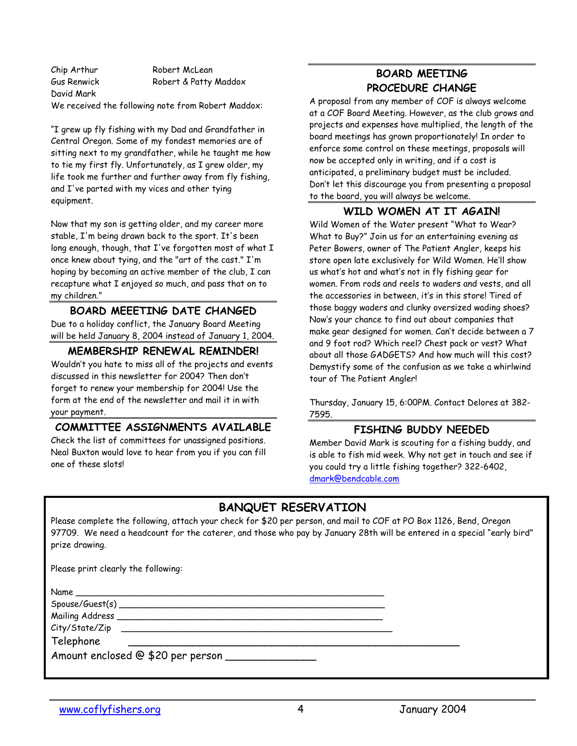Chip Arthur Robert McLean Gus Renwick Robert & Patty Maddox David Mark We received the following note from Robert Maddox:

"I grew up fly fishing with my Dad and Grandfather in Central Oregon. Some of my fondest memories are of sitting next to my grandfather, while he taught me how to tie my first fly. Unfortunately, as I grew older, my life took me further and further away from fly fishing, and I've parted with my vices and other tying equipment.

Now that my son is getting older, and my career more stable, I'm being drawn back to the sport. It's been long enough, though, that I've forgotten most of what I once knew about tying, and the "art of the cast." I'm hoping by becoming an active member of the club, I can recapture what I enjoyed so much, and pass that on to my children."

#### **BOARD MEEETING DATE CHANGED**

Due to a holiday conflict, the January Board Meeting will be held January 8, 2004 instead of January 1, 2004.

#### **MEMBERSHIP RENEWAL REMINDER!**

Wouldn't you hate to miss all of the projects and events discussed in this newsletter for 2004? Then don't forget to renew your membership for 2004! Use the form at the end of the newsletter and mail it in with your payment.

#### **COMMITTEE ASSIGNMENTS AVAILABLE**

Check the list of committees for unassigned positions. Neal Buxton would love to hear from you if you can fill one of these slots!

## **BOARD MEETING PROCEDURE CHANGE**

A proposal from any member of COF is always welcome at a COF Board Meeting. However, as the club grows and projects and expenses have multiplied, the length of the board meetings has grown proportionately! In order to enforce some control on these meetings, proposals will now be accepted only in writing, and if a cost is anticipated, a preliminary budget must be included. Don't let this discourage you from presenting a proposal to the board, you will always be welcome.

#### **WILD WOMEN AT IT AGAIN!**

Wild Women of the Water present "What to Wear? What to Buy?" Join us for an entertaining evening as Peter Bowers, owner of The Patient Angler, keeps his store open late exclusively for Wild Women. He'll show us what's hot and what's not in fly fishing gear for women. From rods and reels to waders and vests, and all the accessories in between, it's in this store! Tired of those baggy waders and clunky oversized wading shoes? Now's your chance to find out about companies that make gear designed for women. Can't decide between a 7 and 9 foot rod? Which reel? Chest pack or vest? What about all those GADGETS? And how much will this cost? Demystify some of the confusion as we take a whirlwind tour of The Patient Angler!

Thursday, January 15, 6:00PM. Contact Delores at 382- 7595.

#### **FISHING BUDDY NEEDED**

Member David Mark is scouting for a fishing buddy, and is able to fish mid week. Why not get in touch and see if you could try a little fishing together? 322-6402, [dmark@bendcable.com](mailto:dmark@bendcable.com)

# **BANQUET RESERVATION**

Please complete the following, attach your check for \$20 per person, and mail to COF at PO Box 1126, Bend, Oregon 97709. We need a headcount for the caterer, and those who pay by January 28th will be entered in a special "early bird" prize drawing.

Please print clearly the following:

Name \_\_\_\_\_\_\_\_\_\_\_\_\_\_\_\_\_\_\_\_\_\_\_\_\_\_\_\_\_\_\_\_\_\_\_\_\_\_\_\_\_\_\_\_\_\_\_\_\_\_\_\_\_\_\_\_\_\_

Spouse/Guest(s) \_\_\_\_\_\_\_\_\_\_\_\_\_\_\_\_\_\_\_\_\_\_\_\_\_\_\_\_\_\_\_\_\_\_\_\_\_\_\_\_\_\_\_\_\_\_\_\_\_\_ Mailing Address \_\_\_\_\_\_\_\_\_\_\_\_\_\_\_\_\_\_\_\_\_\_\_\_\_\_\_\_\_\_\_\_\_\_\_\_\_\_\_\_\_\_\_\_\_\_\_\_\_\_

 $City/State/Zip$ 

Telephone \_\_\_\_\_\_\_\_\_\_\_\_\_\_\_\_\_\_\_\_\_\_\_\_\_\_\_\_\_\_\_\_\_\_\_\_\_\_\_\_\_\_\_\_\_\_\_\_\_\_\_

Amount enclosed @ \$20 per person \_\_\_\_\_\_\_\_\_\_\_\_\_\_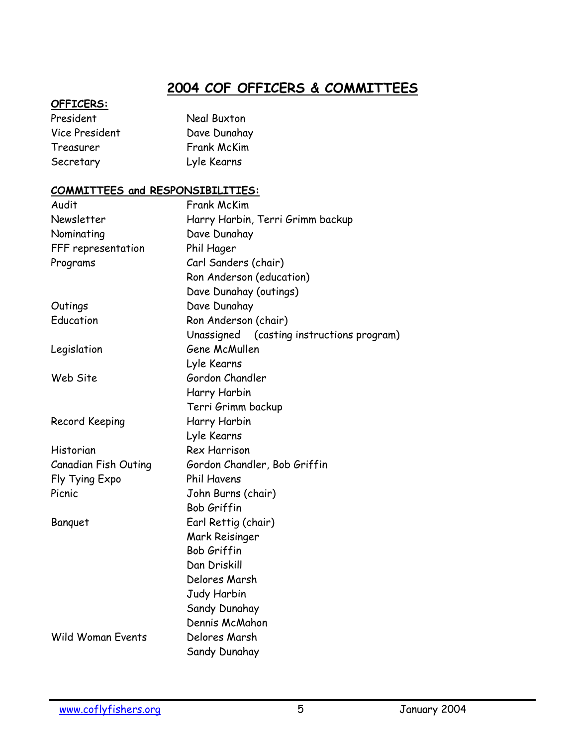# **2004 COF OFFICERS & COMMITTEES**

# **OFFICERS:**

| President             | Neal Buxton        |
|-----------------------|--------------------|
| <b>Vice President</b> | Dave Dunahay       |
| Treasurer             | <b>Frank McKim</b> |
| Secretary             | Lyle Kearns        |

#### **COMMITTEES and RESPONSIBILITIES:**

| Audit                       | <b>Frank McKim</b>                                                                    |  |  |
|-----------------------------|---------------------------------------------------------------------------------------|--|--|
| Newsletter                  | Harry Harbin, Terri Grimm backup                                                      |  |  |
| Nominating                  | Dave Dunahay                                                                          |  |  |
| FFF representation          | Phil Hager                                                                            |  |  |
| Programs                    | Carl Sanders (chair)                                                                  |  |  |
|                             | Ron Anderson (education)<br>Dave Dunahay (outings)                                    |  |  |
|                             |                                                                                       |  |  |
| Outings                     | Dave Dunahay                                                                          |  |  |
| Education                   | Ron Anderson (chair)                                                                  |  |  |
|                             | Unassigned (casting instructions program)                                             |  |  |
| Legislation                 | Gene McMullen                                                                         |  |  |
|                             | Lyle Kearns                                                                           |  |  |
| Web Site                    | Gordon Chandler<br>Harry Harbin<br>Terri Grimm backup                                 |  |  |
|                             |                                                                                       |  |  |
|                             |                                                                                       |  |  |
| Record Keeping              | Harry Harbin<br>Lyle Kearns                                                           |  |  |
|                             |                                                                                       |  |  |
| Historian                   | <b>Rex Harrison</b>                                                                   |  |  |
| <b>Canadian Fish Outing</b> | Gordon Chandler, Bob Griffin                                                          |  |  |
| Fly Tying Expo              | <b>Phil Havens</b>                                                                    |  |  |
| Picnic                      | John Burns (chair)                                                                    |  |  |
|                             | <b>Bob Griffin</b>                                                                    |  |  |
| Banquet                     | Earl Rettig (chair)<br>Mark Reisinger<br>Bob Griffin<br>Dan Driskill<br>Delores Marsh |  |  |
|                             |                                                                                       |  |  |
|                             |                                                                                       |  |  |
|                             |                                                                                       |  |  |
|                             |                                                                                       |  |  |
|                             | Judy Harbin                                                                           |  |  |
|                             | Sandy Dunahay                                                                         |  |  |
|                             | Dennis McMahon                                                                        |  |  |
| Wild Woman Events           | Delores Marsh                                                                         |  |  |
|                             | Sandy Dunahay                                                                         |  |  |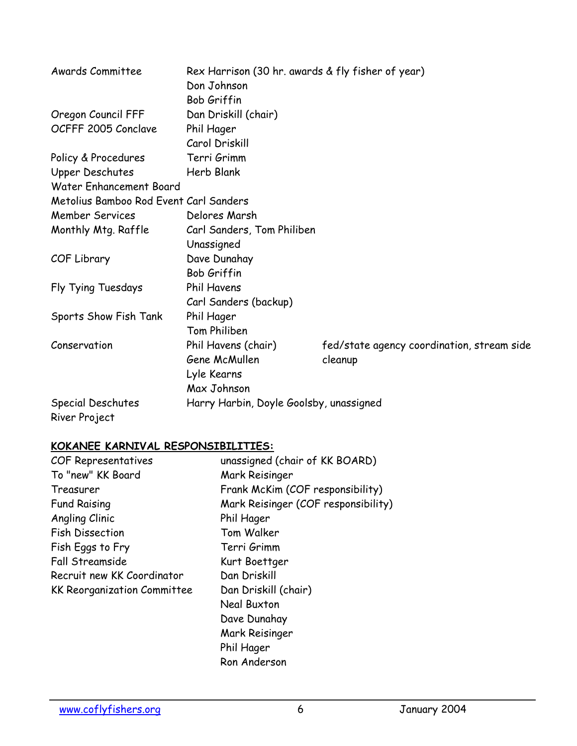| Awards Committee                       | Rex Harrison (30 hr. awards & fly fisher of year)<br>Don Johnson<br>Bob Griffin |                                            |
|----------------------------------------|---------------------------------------------------------------------------------|--------------------------------------------|
| Oregon Council FFF                     | Dan Driskill (chair)                                                            |                                            |
| OCFFF 2005 Conclave                    | Phil Hager                                                                      |                                            |
|                                        | Carol Driskill                                                                  |                                            |
| Policy & Procedures                    | Terri Grimm                                                                     |                                            |
| Upper Deschutes                        | Herb Blank                                                                      |                                            |
| Water Enhancement Board                |                                                                                 |                                            |
| Metolius Bamboo Rod Event Carl Sanders |                                                                                 |                                            |
| <b>Member Services</b>                 | Delores Marsh                                                                   |                                            |
| Monthly Mtg. Raffle                    | Carl Sanders, Tom Philiben                                                      |                                            |
|                                        | Unassigned                                                                      |                                            |
| COF Library                            | Dave Dunahay                                                                    |                                            |
|                                        | Bob Griffin                                                                     |                                            |
| Fly Tying Tuesdays                     | <b>Phil Havens</b>                                                              |                                            |
|                                        | Carl Sanders (backup)                                                           |                                            |
| Sports Show Fish Tank                  | Phil Hager                                                                      |                                            |
|                                        | Tom Philiben                                                                    |                                            |
| Conservation                           | Phil Havens (chair)                                                             | fed/state agency coordination, stream side |
|                                        | Gene McMullen                                                                   | cleanup                                    |
|                                        | Lyle Kearns                                                                     |                                            |
|                                        | Max Johnson                                                                     |                                            |
| Special Deschutes<br>River Project     | Harry Harbin, Doyle Goolsby, unassigned                                         |                                            |

## **KOKANEE KARNIVAL RESPONSIBILITIES:**

| COF Representatives                | unassigned (chair of KK BOARD)      |
|------------------------------------|-------------------------------------|
| To "new" KK Board                  | Mark Reisinger                      |
| Treasurer                          | Frank McKim (COF responsibility)    |
| <b>Fund Raising</b>                | Mark Reisinger (COF responsibility) |
| Angling Clinic                     | Phil Hager                          |
| <b>Fish Dissection</b>             | Tom Walker                          |
| Fish Eggs to Fry                   | Terri Grimm                         |
| <b>Fall Streamside</b>             | Kurt Boettger                       |
| Recruit new KK Coordinator         | Dan Driskill                        |
| <b>KK Reorganization Committee</b> | Dan Driskill (chair)                |
|                                    | Neal Buxton                         |
|                                    | Dave Dunahay                        |
|                                    | Mark Reisinger                      |
|                                    | Phil Hager                          |
|                                    | Ron Anderson                        |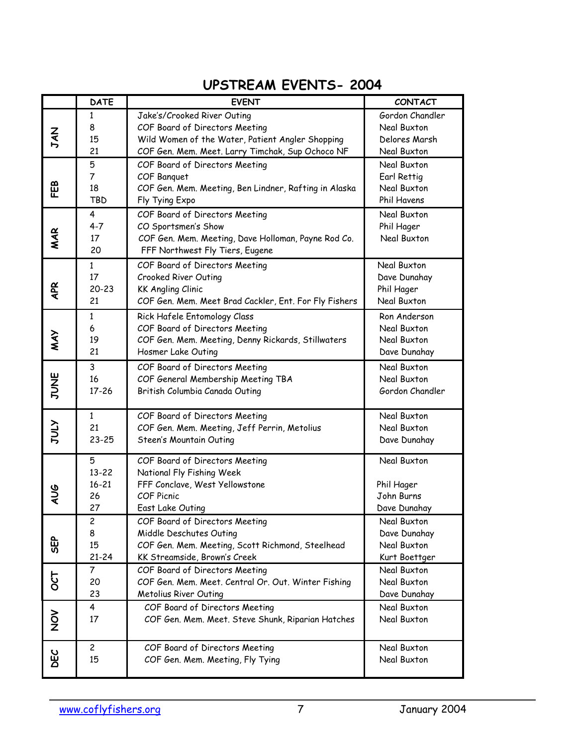# **UPSTREAM EVENTS- 2004**

|               | <b>DATE</b>    | <b>EVENT</b>                                          | <b>CONTACT</b>  |
|---------------|----------------|-------------------------------------------------------|-----------------|
|               | 1              | Jake's/Crooked River Outing                           | Gordon Chandler |
|               | 8              | COF Board of Directors Meeting                        | Neal Buxton     |
| そり            | 15             | Wild Women of the Water, Patient Angler Shopping      | Delores Marsh   |
|               | 21             | COF Gen. Mem. Meet. Larry Timchak, Sup Ochoco NF      | Neal Buxton     |
|               | 5              | COF Board of Directors Meeting                        | Neal Buxton     |
|               | $\overline{7}$ | COF Banquet                                           | Earl Rettig     |
| FEB           | 18             | COF Gen. Mem. Meeting, Ben Lindner, Rafting in Alaska | Neal Buxton     |
|               | <b>TBD</b>     | Fly Tying Expo                                        | Phil Havens     |
|               | 4              | COF Board of Directors Meeting                        | Neal Buxton     |
|               | $4 - 7$        | CO Sportsmen's Show                                   | Phil Hager      |
| MAR           | 17             | COF Gen. Mem. Meeting, Dave Holloman, Payne Rod Co.   | Neal Buxton     |
|               | 20             | FFF Northwest Fly Tiers, Eugene                       |                 |
|               | $\mathbf{1}$   | COF Board of Directors Meeting                        | Neal Buxton     |
|               | 17             | Crooked River Outing                                  | Dave Dunahay    |
| APR           | $20 - 23$      | <b>KK Angling Clinic</b>                              | Phil Hager      |
|               | 21             | COF Gen. Mem. Meet Brad Cackler, Ent. For Fly Fishers | Neal Buxton     |
|               | $\mathbf{1}$   | Rick Hafele Entomology Class                          | Ron Anderson    |
|               | 6              | COF Board of Directors Meeting                        | Neal Buxton     |
| XYW           | 19             | COF Gen. Mem. Meeting, Denny Rickards, Stillwaters    | Neal Buxton     |
|               | 21             | Hosmer Lake Outing                                    | Dave Dunahay    |
|               | 3              | COF Board of Directors Meeting                        | Neal Buxton     |
|               | 16             | COF General Membership Meeting TBA                    | Neal Buxton     |
| JUNE          | $17 - 26$      | British Columbia Canada Outing                        | Gordon Chandler |
|               |                |                                                       |                 |
|               | $\mathbf{1}$   | COF Board of Directors Meeting                        | Neal Buxton     |
| YTUL          | 21             | COF Gen. Mem. Meeting, Jeff Perrin, Metolius          | Neal Buxton     |
|               | $23 - 25$      | Steen's Mountain Outing                               | Dave Dunahay    |
|               | 5              | COF Board of Directors Meeting                        | Neal Buxton     |
|               | $13 - 22$      | National Fly Fishing Week                             |                 |
|               | $16 - 21$      | FFF Conclave, West Yellowstone                        | Phil Hager      |
| <b>AUG</b>    | 26             | <b>COF Picnic</b>                                     | John Burns      |
|               | 27             | East Lake Outing                                      | Dave Dunahay    |
|               | 2              | COF Board of Directors Meeting                        | Neal Buxton     |
|               | 8              | Middle Deschutes Outing                               | Dave Dunahay    |
| <b>GEP</b>    | 15             | COF Gen. Mem. Meeting, Scott Richmond, Steelhead      | Neal Buxton     |
|               | $21 - 24$      | KK Streamside, Brown's Creek                          | Kurt Boettger   |
|               | 7              | COF Board of Directors Meeting                        | Neal Buxton     |
| <b>DOL</b>    | 20             | COF Gen. Mem. Meet. Central Or. Out. Winter Fishing   | Neal Buxton     |
|               | 23             | Metolius River Outing                                 | Dave Dunahay    |
|               | 4              | COF Board of Directors Meeting                        | Neal Buxton     |
| $\frac{8}{2}$ | 17             | COF Gen. Mem. Meet. Steve Shunk, Riparian Hatches     | Neal Buxton     |
|               |                |                                                       |                 |
|               | $\overline{c}$ | COF Board of Directors Meeting                        | Neal Buxton     |
| DEC           | 15             | COF Gen. Mem. Meeting, Fly Tying                      | Neal Buxton     |
|               |                |                                                       |                 |